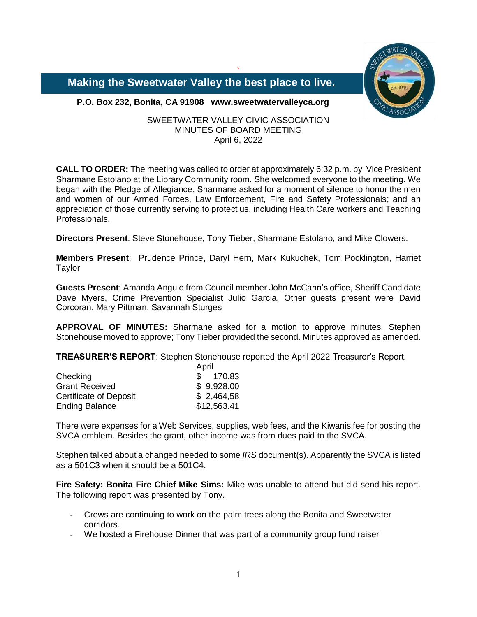

 **Making the Sweetwater Valley the best place to live.**

**P.O. Box 232, Bonita, CA 91908 www.sweetwatervalleyca.org**

SWEETWATER VALLEY CIVIC ASSOCIATION MINUTES OF BOARD MEETING April 6, 2022

`

**CALL TO ORDER:** The meeting was called to order at approximately 6:32 p.m. by Vice President Sharmane Estolano at the Library Community room. She welcomed everyone to the meeting. We began with the Pledge of Allegiance. Sharmane asked for a moment of silence to honor the men and women of our Armed Forces, Law Enforcement, Fire and Safety Professionals; and an appreciation of those currently serving to protect us, including Health Care workers and Teaching Professionals.

**Directors Present**: Steve Stonehouse, Tony Tieber, Sharmane Estolano, and Mike Clowers.

**Members Present**: Prudence Prince, Daryl Hern, Mark Kukuchek, Tom Pocklington, Harriet Taylor

**Guests Present**: Amanda Angulo from Council member John McCann's office, Sheriff Candidate Dave Myers, Crime Prevention Specialist Julio Garcia, Other guests present were David Corcoran, Mary Pittman, Savannah Sturges

**APPROVAL OF MINUTES:** Sharmane asked for a motion to approve minutes. Stephen Stonehouse moved to approve; Tony Tieber provided the second. Minutes approved as amended.

**TREASURER'S REPORT**: Stephen Stonehouse reported the April 2022 Treasurer's Report.

|                               | April       |  |
|-------------------------------|-------------|--|
| Checking                      | \$170.83    |  |
| <b>Grant Received</b>         | \$9,928.00  |  |
| <b>Certificate of Deposit</b> | \$2,464,58  |  |
| <b>Ending Balance</b>         | \$12,563.41 |  |

There were expenses for a Web Services, supplies, web fees, and the Kiwanis fee for posting the SVCA emblem. Besides the grant, other income was from dues paid to the SVCA.

Stephen talked about a changed needed to some *IRS* document(s). Apparently the SVCA is listed as a 501C3 when it should be a 501C4.

**Fire Safety: Bonita Fire Chief Mike Sims:** Mike was unable to attend but did send his report. The following report was presented by Tony.

- Crews are continuing to work on the palm trees along the Bonita and Sweetwater corridors.
- We hosted a Firehouse Dinner that was part of a community group fund raiser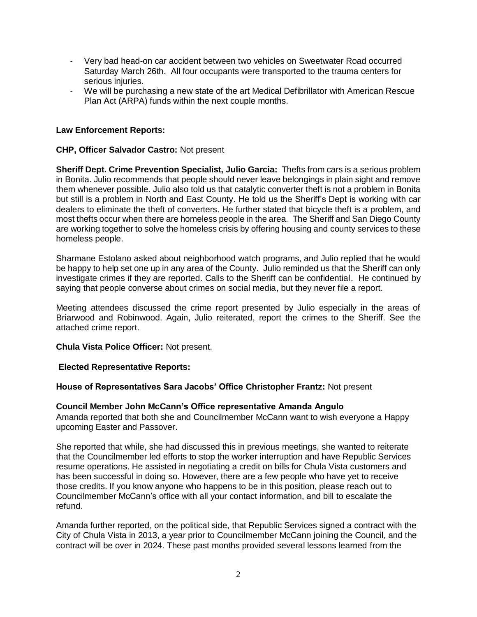- Very bad head-on car accident between two vehicles on Sweetwater Road occurred Saturday March 26th. All four occupants were transported to the trauma centers for serious injuries.
- We will be purchasing a new state of the art Medical Defibrillator with American Rescue Plan Act (ARPA) funds within the next couple months.

# **Law Enforcement Reports:**

## **CHP, Officer Salvador Castro:** Not present

**Sheriff Dept. Crime Prevention Specialist, Julio Garcia:** Thefts from cars is a serious problem in Bonita. Julio recommends that people should never leave belongings in plain sight and remove them whenever possible. Julio also told us that catalytic converter theft is not a problem in Bonita but still is a problem in North and East County. He told us the Sheriff's Dept is working with car dealers to eliminate the theft of converters. He further stated that bicycle theft is a problem, and most thefts occur when there are homeless people in the area. The Sheriff and San Diego County are working together to solve the homeless crisis by offering housing and county services to these homeless people.

Sharmane Estolano asked about neighborhood watch programs, and Julio replied that he would be happy to help set one up in any area of the County. Julio reminded us that the Sheriff can only investigate crimes if they are reported. Calls to the Sheriff can be confidential. He continued by saying that people converse about crimes on social media, but they never file a report.

Meeting attendees discussed the crime report presented by Julio especially in the areas of Briarwood and Robinwood. Again, Julio reiterated, report the crimes to the Sheriff. See the attached crime report.

**Chula Vista Police Officer:** Not present.

## **Elected Representative Reports:**

## **House of Representatives Sara Jacobs' Office Christopher Frantz:** Not present

### **Council Member John McCann's Office representative Amanda Angulo**  Amanda reported that both she and Councilmember McCann want to wish everyone a Happy upcoming Easter and Passover.

She reported that while, she had discussed this in previous meetings, she wanted to reiterate that the Councilmember led efforts to stop the worker interruption and have Republic Services resume operations. He assisted in negotiating a credit on bills for Chula Vista customers and has been successful in doing so. However, there are a few people who have yet to receive those credits. If you know anyone who happens to be in this position, please reach out to Councilmember McCann's office with all your contact information, and bill to escalate the refund.

Amanda further reported, on the political side, that Republic Services signed a contract with the City of Chula Vista in 2013, a year prior to Councilmember McCann joining the Council, and the contract will be over in 2024. These past months provided several lessons learned from the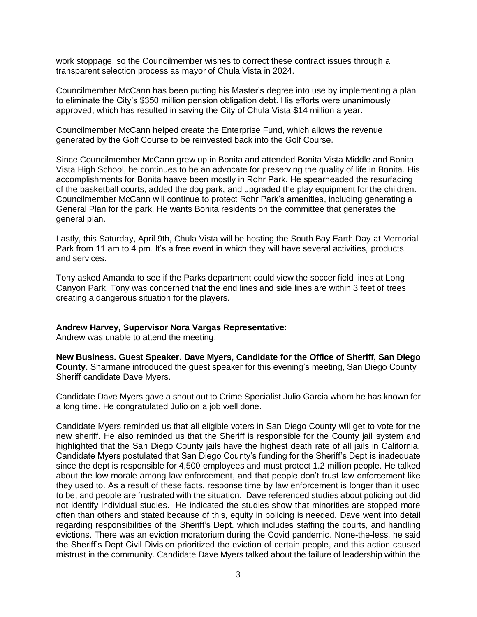work stoppage, so the Councilmember wishes to correct these contract issues through a transparent selection process as mayor of Chula Vista in 2024.

Councilmember McCann has been putting his Master's degree into use by implementing a plan to eliminate the City's \$350 million pension obligation debt. His efforts were unanimously approved, which has resulted in saving the City of Chula Vista \$14 million a year.

Councilmember McCann helped create the Enterprise Fund, which allows the revenue generated by the Golf Course to be reinvested back into the Golf Course.

Since Councilmember McCann grew up in Bonita and attended Bonita Vista Middle and Bonita Vista High School, he continues to be an advocate for preserving the quality of life in Bonita. His accomplishments for Bonita haave been mostly in Rohr Park. He spearheaded the resurfacing of the basketball courts, added the dog park, and upgraded the play equipment for the children. Councilmember McCann will continue to protect Rohr Park's amenities, including generating a General Plan for the park. He wants Bonita residents on the committee that generates the general plan.

Lastly, this Saturday, April 9th, Chula Vista will be hosting the South Bay Earth Day at Memorial Park from 11 am to 4 pm. It's a free event in which they will have several activities, products, and services.

Tony asked Amanda to see if the Parks department could view the soccer field lines at Long Canyon Park. Tony was concerned that the end lines and side lines are within 3 feet of trees creating a dangerous situation for the players.

### **Andrew Harvey, Supervisor Nora Vargas Representative**:

Andrew was unable to attend the meeting.

**New Business. Guest Speaker. Dave Myers, Candidate for the Office of Sheriff, San Diego County.** Sharmane introduced the guest speaker for this evening's meeting, San Diego County Sheriff candidate Dave Myers.

Candidate Dave Myers gave a shout out to Crime Specialist Julio Garcia whom he has known for a long time. He congratulated Julio on a job well done.

Candidate Myers reminded us that all eligible voters in San Diego County will get to vote for the new sheriff. He also reminded us that the Sheriff is responsible for the County jail system and highlighted that the San Diego County jails have the highest death rate of all jails in California. Candidate Myers postulated that San Diego County's funding for the Sheriff's Dept is inadequate since the dept is responsible for 4,500 employees and must protect 1.2 million people. He talked about the low morale among law enforcement, and that people don't trust law enforcement like they used to. As a result of these facts, response time by law enforcement is longer than it used to be, and people are frustrated with the situation. Dave referenced studies about policing but did not identify individual studies. He indicated the studies show that minorities are stopped more often than others and stated because of this, equity in policing is needed. Dave went into detail regarding responsibilities of the Sheriff's Dept. which includes staffing the courts, and handling evictions. There was an eviction moratorium during the Covid pandemic. None-the-less, he said the Sheriff's Dept Civil Division prioritized the eviction of certain people, and this action caused mistrust in the community. Candidate Dave Myers talked about the failure of leadership within the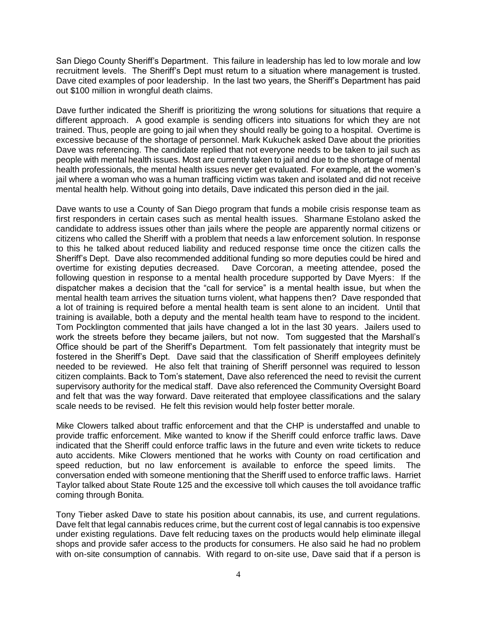San Diego County Sheriff's Department. This failure in leadership has led to low morale and low recruitment levels. The Sheriff's Dept must return to a situation where management is trusted. Dave cited examples of poor leadership. In the last two years, the Sheriff's Department has paid out \$100 million in wrongful death claims.

Dave further indicated the Sheriff is prioritizing the wrong solutions for situations that require a different approach. A good example is sending officers into situations for which they are not trained. Thus, people are going to jail when they should really be going to a hospital. Overtime is excessive because of the shortage of personnel. Mark Kukuchek asked Dave about the priorities Dave was referencing. The candidate replied that not everyone needs to be taken to jail such as people with mental health issues. Most are currently taken to jail and due to the shortage of mental health professionals, the mental health issues never get evaluated. For example, at the women's jail where a woman who was a human trafficing victim was taken and isolated and did not receive mental health help. Without going into details, Dave indicated this person died in the jail.

Dave wants to use a County of San Diego program that funds a mobile crisis response team as first responders in certain cases such as mental health issues. Sharmane Estolano asked the candidate to address issues other than jails where the people are apparently normal citizens or citizens who called the Sheriff with a problem that needs a law enforcement solution. In response to this he talked about reduced liability and reduced response time once the citizen calls the Sheriff's Dept. Dave also recommended additional funding so more deputies could be hired and overtime for existing deputies decreased. Dave Corcoran, a meeting attendee, posed the following question in response to a mental health procedure supported by Dave Myers: If the dispatcher makes a decision that the "call for service" is a mental health issue, but when the mental health team arrives the situation turns violent, what happens then? Dave responded that a lot of training is required before a mental health team is sent alone to an incident. Until that training is available, both a deputy and the mental health team have to respond to the incident. Tom Pocklington commented that jails have changed a lot in the last 30 years. Jailers used to work the streets before they became jailers, but not now. Tom suggested that the Marshall's Office should be part of the Sheriff's Department. Tom felt passionately that integrity must be fostered in the Sheriff's Dept. Dave said that the classification of Sheriff employees definitely needed to be reviewed. He also felt that training of Sheriff personnel was required to lesson citizen complaints. Back to Tom's statement, Dave also referenced the need to revisit the current supervisory authority for the medical staff. Dave also referenced the Community Oversight Board and felt that was the way forward. Dave reiterated that employee classifications and the salary scale needs to be revised. He felt this revision would help foster better morale.

Mike Clowers talked about traffic enforcement and that the CHP is understaffed and unable to provide traffic enforcement. Mike wanted to know if the Sheriff could enforce traffic laws. Dave indicated that the Sheriff could enforce traffic laws in the future and even write tickets to reduce auto accidents. Mike Clowers mentioned that he works with County on road certification and speed reduction, but no law enforcement is available to enforce the speed limits. The conversation ended with someone mentioning that the Sheriff used to enforce traffic laws. Harriet Taylor talked about State Route 125 and the excessive toll which causes the toll avoidance traffic coming through Bonita.

Tony Tieber asked Dave to state his position about cannabis, its use, and current regulations. Dave felt that legal cannabis reduces crime, but the current cost of legal cannabis is too expensive under existing regulations. Dave felt reducing taxes on the products would help eliminate illegal shops and provide safer access to the products for consumers. He also said he had no problem with on-site consumption of cannabis. With regard to on-site use, Dave said that if a person is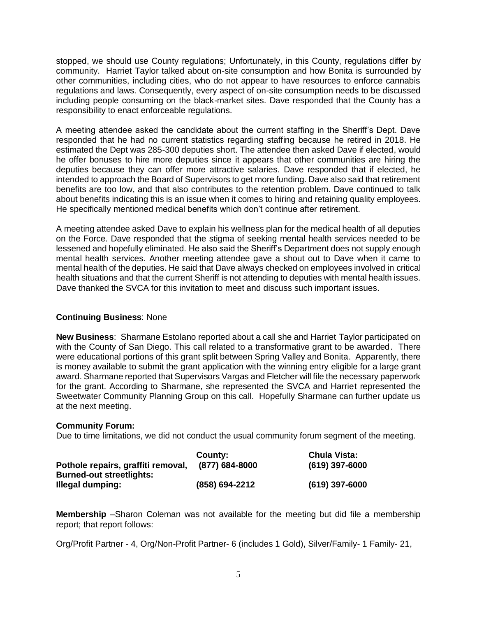stopped, we should use County regulations; Unfortunately, in this County, regulations differ by community. Harriet Taylor talked about on-site consumption and how Bonita is surrounded by other communities, including cities, who do not appear to have resources to enforce cannabis regulations and laws. Consequently, every aspect of on-site consumption needs to be discussed including people consuming on the black-market sites. Dave responded that the County has a responsibility to enact enforceable regulations.

A meeting attendee asked the candidate about the current staffing in the Sheriff's Dept. Dave responded that he had no current statistics regarding staffing because he retired in 2018. He estimated the Dept was 285-300 deputies short. The attendee then asked Dave if elected, would he offer bonuses to hire more deputies since it appears that other communities are hiring the deputies because they can offer more attractive salaries. Dave responded that if elected, he intended to approach the Board of Supervisors to get more funding. Dave also said that retirement benefits are too low, and that also contributes to the retention problem. Dave continued to talk about benefits indicating this is an issue when it comes to hiring and retaining quality employees. He specifically mentioned medical benefits which don't continue after retirement.

A meeting attendee asked Dave to explain his wellness plan for the medical health of all deputies on the Force. Dave responded that the stigma of seeking mental health services needed to be lessened and hopefully eliminated. He also said the Sheriff's Department does not supply enough mental health services. Another meeting attendee gave a shout out to Dave when it came to mental health of the deputies. He said that Dave always checked on employees involved in critical health situations and that the current Sheriff is not attending to deputies with mental health issues. Dave thanked the SVCA for this invitation to meet and discuss such important issues.

# **Continuing Business**: None

**New Business**: Sharmane Estolano reported about a call she and Harriet Taylor participated on with the County of San Diego. This call related to a transformative grant to be awarded. There were educational portions of this grant split between Spring Valley and Bonita. Apparently, there is money available to submit the grant application with the winning entry eligible for a large grant award. Sharmane reported that Supervisors Vargas and Fletcher will file the necessary paperwork for the grant. According to Sharmane, she represented the SVCA and Harriet represented the Sweetwater Community Planning Group on this call. Hopefully Sharmane can further update us at the next meeting.

# **Community Forum:**

Due to time limitations, we did not conduct the usual community forum segment of the meeting.

|                                    | County:        | <b>Chula Vista:</b> |
|------------------------------------|----------------|---------------------|
| Pothole repairs, graffiti removal, | (877) 684-8000 | $(619)$ 397-6000    |
| <b>Burned-out streetlights:</b>    |                |                     |
| Illegal dumping:                   | (858) 694-2212 | $(619)$ 397-6000    |

**Membership** –Sharon Coleman was not available for the meeting but did file a membership report; that report follows:

Org/Profit Partner - 4, Org/Non-Profit Partner- 6 (includes 1 Gold), Silver/Family- 1 Family- 21,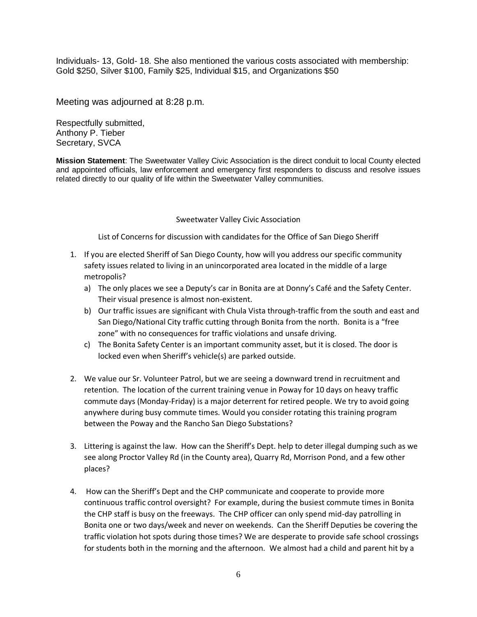Individuals- 13, Gold- 18. She also mentioned the various costs associated with membership: Gold \$250, Silver \$100, Family \$25, Individual \$15, and Organizations \$50

Meeting was adjourned at 8:28 p.m.

Respectfully submitted, Anthony P. Tieber Secretary, SVCA

**Mission Statement**: The Sweetwater Valley Civic Association is the direct conduit to local County elected and appointed officials, law enforcement and emergency first responders to discuss and resolve issues related directly to our quality of life within the Sweetwater Valley communities.

### Sweetwater Valley Civic Association

List of Concerns for discussion with candidates for the Office of San Diego Sheriff

- 1. If you are elected Sheriff of San Diego County, how will you address our specific community safety issues related to living in an unincorporated area located in the middle of a large metropolis?
	- a) The only places we see a Deputy's car in Bonita are at Donny's Café and the Safety Center. Their visual presence is almost non-existent.
	- b) Our traffic issues are significant with Chula Vista through-traffic from the south and east and San Diego/National City traffic cutting through Bonita from the north. Bonita is a "free zone" with no consequences for traffic violations and unsafe driving.
	- c) The Bonita Safety Center is an important community asset, but it is closed. The door is locked even when Sheriff's vehicle(s) are parked outside.
- 2. We value our Sr. Volunteer Patrol, but we are seeing a downward trend in recruitment and retention. The location of the current training venue in Poway for 10 days on heavy traffic commute days (Monday-Friday) is a major deterrent for retired people. We try to avoid going anywhere during busy commute times. Would you consider rotating this training program between the Poway and the Rancho San Diego Substations?
- 3. Littering is against the law. How can the Sheriff's Dept. help to deter illegal dumping such as we see along Proctor Valley Rd (in the County area), Quarry Rd, Morrison Pond, and a few other places?
- 4. How can the Sheriff's Dept and the CHP communicate and cooperate to provide more continuous traffic control oversight? For example, during the busiest commute times in Bonita the CHP staff is busy on the freeways. The CHP officer can only spend mid-day patrolling in Bonita one or two days/week and never on weekends. Can the Sheriff Deputies be covering the traffic violation hot spots during those times? We are desperate to provide safe school crossings for students both in the morning and the afternoon. We almost had a child and parent hit by a